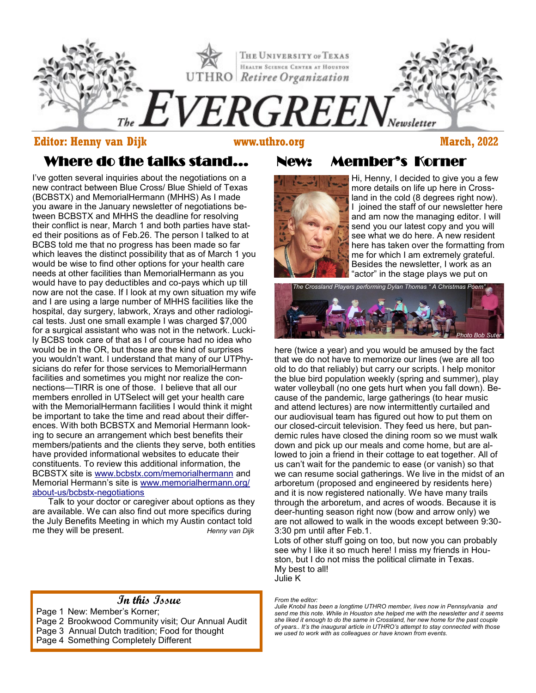

### **Editor: Henny van Dijk www.uthro.org March, 2022**

# Where do the talks stand...

Which leaves the distinct possibility that as of March 1 y<br>Would be wise to find other options for your health care I've gotten several inquiries about the negotiations on a new contract between Blue Cross/ Blue Shield of Texas (BCBSTX) and MemorialHermann (MHHS) As I made you aware in the January newsletter of negotiations between BCBSTX and MHHS the deadline for resolving their conflict is near, March 1 and both parties have stated their positions as of Feb.26. The person I talked to at BCBS told me that no progress has been made so far which leaves the distinct possibility that as of March 1 you needs at other facilities than MemorialHermann as you would have to pay deductibles and co-pays which up till now are not the case. If I look at my own situation my wife and I are using a large number of MHHS facilities like the hospital, day surgery, labwork, Xrays and other radiological tests. Just one small example I was charged \$7,000 for a surgical assistant who was not in the network. Luckily BCBS took care of that as I of course had no idea who would be in the OR, but those are the kind of surprises you wouldn't want. I understand that many of our UTPhysicians do refer for those services to MemorialHermann facilities and sometimes you might nor realize the connections—TIRR is one of those. I believe that all our members enrolled in UTSelect will get your health care with the MemorialHermann facilities I would think it might be important to take the time and read about their differences. With both BCBSTX and Memorial Hermann looking to secure an arrangement which best benefits their members/patients and the clients they serve, both entities have provided informational websites to educate their constituents. To review this additional information, the BCBSTX site is [www.bcbstx.com/memorialhermann](http://www.bcbstx.com/memorialhermann) and Memorial Hermann's site is [www.memorialhermann.org/](http://www.memorialhermann.org/about-us/bcbstx-negotiations) about-us/bcbstx-[negotiations](http://www.memorialhermann.org/about-us/bcbstx-negotiations)

Talk to your doctor or caregiver about options as they are available. We can also find out more specifics during the July Benefits Meeting in which my Austin contact told me they will be present. *Henny van Dijk*

## **In this Issue**

Page 1 New: Member's Korner; Page 2 Brookwood Community visit; Our Annual Audit Page 3 Annual Dutch tradition; Food for thought Page 4 Something Completely Different

# New: Member's Korner



Hi, Henny, I decided to give you a few more details on life up here in Crossland in the cold (8 degrees right now). I joined the staff of our newsletter here and am now the managing editor. I will send you our latest copy and you will see what we do here. A new resident here has taken over the formatting from me for which I am extremely grateful. Besides the newsletter, I work as an "actor" in the stage plays we put on



*Photo by Henny van Dijk* demic rules have closed the dining room so we must walk here (twice a year) and you would be amused by the fact that we do not have to memorize our lines (we are all too old to do that reliably) but carry our scripts. I help monitor the blue bird population weekly (spring and summer), play water volleyball (no one gets hurt when you fall down). Because of the pandemic, large gatherings (to hear music and attend lectures) are now intermittently curtailed and our audiovisual team has figured out how to put them on our closed-circuit television. They feed us here, but pandown and pick up our meals and come home, but are allowed to join a friend in their cottage to eat together. All of us can't wait for the pandemic to ease (or vanish) so that we can resume social gatherings. We live in the midst of an arboretum (proposed and engineered by residents here) and it is now registered nationally. We have many trails through the arboretum, and acres of woods. Because it is deer-hunting season right now (bow and arrow only) we are not allowed to walk in the woods except between 9:30- 3:30 pm until after Feb.1.

Lots of other stuff going on too, but now you can probably see why I like it so much here! I miss my friends in Houston, but I do not miss the political climate in Texas. My best to all! Julie K

*From the editor:* 

*Julie Knobil has been a longtime UTHRO member, lives now in Pennsylvania and send me this note. While in Houston she helped me with the newsletter and it seems she liked it enough to do the same in Crossland, her new home for the past couple of years.. It's the inaugural article in UTHRO's attempt to stay connected with those we used to work with as colleagues or have known from events.*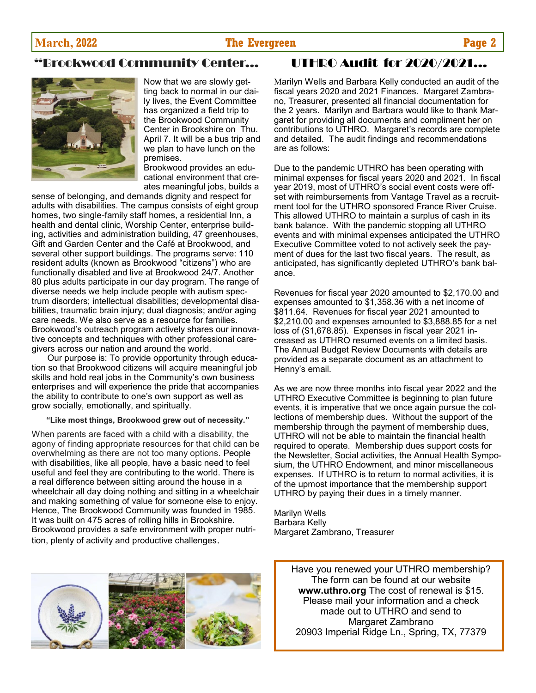## **March, 2022 The Evergreen Page 2**

# Brookwood Community Center...



Now that we are slowly getting back to normal in our daily lives, the Event Committee has organized a field trip to the Brookwood Community Center in Brookshire on Thu. April 7. It will be a bus trip and we plan to have lunch on the premises.

Brookwood provides an educational environment that creates meaningful jobs, builds a

sense of belonging, and demands dignity and respect for adults with disabilities. The campus consists of eight group homes, two single-family staff homes, a residential Inn, a health and dental clinic, Worship Center, enterprise building, activities and administration building, 47 greenhouses, Gift and Garden Center and the Café at Brookwood, and several other support buildings. The programs serve: 110 resident adults (known as Brookwood "citizens") who are functionally disabled and live at Brookwood 24/7. Another 80 plus adults participate in our day program. The range of diverse needs we help include people with autism spectrum disorders; intellectual disabilities; developmental disabilities, traumatic brain injury; dual diagnosis; and/or aging care needs. We also serve as a resource for families. Brookwood's outreach program actively shares our innovative concepts and techniques with other professional caregivers across our nation and around the world.

Our purpose is: To provide opportunity through education so that Brookwood citizens will acquire meaningful job skills and hold real jobs in the Community's own business enterprises and will experience the pride that accompanies the ability to contribute to one's own support as well as grow socially, emotionally, and spiritually.

#### **"Like most things, Brookwood grew out of necessity."**

When parents are faced with a child with a disability, the agony of finding appropriate resources for that child can be overwhelming as there are not too many options. People with disabilities, like all people, have a basic need to feel useful and feel they are contributing to the world. There is a real difference between sitting around the house in a wheelchair all day doing nothing and sitting in a wheelchair and making something of value for someone else to enjoy. Hence, The Brookwood Community was founded in 1985. It was built on 475 acres of rolling hills in Brookshire. Brookwood provides a safe environment with proper nutrition, plenty of activity and productive challenges.

# UTHRO Audit for 2020/2021...

Marilyn Wells and Barbara Kelly conducted an audit of the fiscal years 2020 and 2021 Finances. Margaret Zambrano, Treasurer, presented all financial documentation for the 2 years. Marilyn and Barbara would like to thank Margaret for providing all documents and compliment her on contributions to UTHRO. Margaret's records are complete and detailed. The audit findings and recommendations are as follows:

Due to the pandemic UTHRO has been operating with minimal expenses for fiscal years 2020 and 2021. In fiscal year 2019, most of UTHRO's social event costs were offset with reimbursements from Vantage Travel as a recruitment tool for the UTHRO sponsored France River Cruise. This allowed UTHRO to maintain a surplus of cash in its bank balance. With the pandemic stopping all UTHRO events and with minimal expenses anticipated the UTHRO Executive Committee voted to not actively seek the payment of dues for the last two fiscal years. The result, as anticipated, has significantly depleted UTHRO's bank balance.

Revenues for fiscal year 2020 amounted to \$2,170.00 and expenses amounted to \$1,358.36 with a net income of \$811.64. Revenues for fiscal year 2021 amounted to \$2,210.00 and expenses amounted to \$3,888.85 for a net loss of (\$1,678.85). Expenses in fiscal year 2021 increased as UTHRO resumed events on a limited basis. The Annual Budget Review Documents with details are provided as a separate document as an attachment to Henny's email.

As we are now three months into fiscal year 2022 and the UTHRO Executive Committee is beginning to plan future events, it is imperative that we once again pursue the collections of membership dues. Without the support of the membership through the payment of membership dues, UTHRO will not be able to maintain the financial health required to operate. Membership dues support costs for the Newsletter, Social activities, the Annual Health Symposium, the UTHRO Endowment, and minor miscellaneous expenses. If UTHRO is to return to normal activities, it is of the upmost importance that the membership support UTHRO by paying their dues in a timely manner.

Marilyn Wells Barbara Kelly Margaret Zambrano, Treasurer



Have you renewed your UTHRO membership? The form can be found at our website **www.uthro.org** The cost of renewal is \$15. Please mail your information and a check made out to UTHRO and send to Margaret Zambrano 20903 Imperial Ridge Ln., Spring, TX, 77379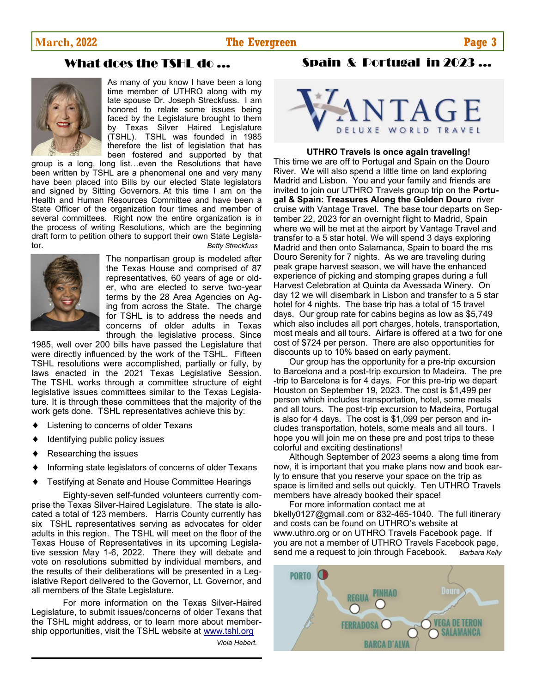#### **March, 2022 The Evergreen Page 3**

# What does the TSHL do ...



As many of you know I have been a long time member of UTHRO along with my late spouse Dr. Joseph Streckfuss. I am honored to relate some issues being faced by the Legislature brought to them by Texas Silver Haired Legislature (TSHL). TSHL was founded in 1985 therefore the list of legislation that has been fostered and supported by that

group is a long, long list…even the Resolutions that have been written by TSHL are a phenomenal one and very many have been placed into Bills by our elected State legislators and signed by Sitting Governors. At this time I am on the Health and Human Resources Committee and have been a State Officer of the organization four times and member of several committees. Right now the entire organization is in the process of writing Resolutions, which are the beginning draft form to petition others to support their own State Legislator. *Betty Streckfuss* 



The nonpartisan group is modeled after the Texas House and comprised of 87 representatives, 60 years of age or older, who are elected to serve two-year terms by the 28 Area Agencies on Aging from across the State. The charge for TSHL is to address the needs and concerns of older adults in Texas through the legislative process. Since

1985, well over 200 bills have passed the Legislature that were directly influenced by the work of the TSHL. Fifteen TSHL resolutions were accomplished, partially or fully, by laws enacted in the 2021 Texas Legislative Session. The TSHL works through a committee structure of eight legislative issues committees similar to the Texas Legislature. It is through these committees that the majority of the work gets done. TSHL representatives achieve this by:

- Listening to concerns of older Texans
- Identifying public policy issues
- Researching the issues
- Informing state legislators of concerns of older Texans
- Testifying at Senate and House Committee Hearings

Eighty-seven self-funded volunteers currently comprise the Texas Silver-Haired Legislature. The state is allocated a total of 123 members. Harris County currently has six TSHL representatives serving as advocates for older adults in this region. The TSHL will meet on the floor of the Texas House of Representatives in its upcoming Legislative session May 1-6, 2022. There they will debate and vote on resolutions submitted by individual members, and the results of their deliberations will be presented in a Legislative Report delivered to the Governor, Lt. Governor, and all members of the State Legislature.

For more information on the Texas Silver-Haired Legislature, to submit issues/concerns of older Texans that the TSHL might address, or to learn more about membership opportunities, visit the TSHL website at [www.tshl.org](http://www.tshl.org)

 *Viola Hebert.*



Spain & Portugal in 2023 ...

**UTHRO Travels is once again traveling!** 

This time we are off to Portugal and Spain on the Douro River. We will also spend a little time on land exploring Madrid and Lisbon. You and your family and friends are invited to join our UTHRO Travels group trip on the **Portugal & Spain: Treasures Along the Golden Douro** river cruise with Vantage Travel. The base tour departs on September 22, 2023 for an overnight flight to Madrid, Spain where we will be met at the airport by Vantage Travel and transfer to a 5 star hotel. We will spend 3 days exploring Madrid and then onto Salamanca, Spain to board the ms Douro Serenity for 7 nights. As we are traveling during peak grape harvest season, we will have the enhanced experience of picking and stomping grapes during a full Harvest Celebration at Quinta da Avessada Winery. On day 12 we will disembark in Lisbon and transfer to a 5 star hotel for 4 nights. The base trip has a total of 15 travel days. Our group rate for cabins begins as low as \$5,749 which also includes all port charges, hotels, transportation, most meals and all tours. Airfare is offered at a two for one cost of \$724 per person. There are also opportunities for discounts up to 10% based on early payment.

Our group has the opportunity for a pre-trip excursion to Barcelona and a post-trip excursion to Madeira. The pre -trip to Barcelona is for 4 days. For this pre-trip we depart Houston on September 19, 2023. The cost is \$1,499 per person which includes transportation, hotel, some meals and all tours. The post-trip excursion to Madeira, Portugal is also for 4 days. The cost is \$1,099 per person and includes transportation, hotels, some meals and all tours. I hope you will join me on these pre and post trips to these colorful and exciting destinations!

Although September of 2023 seems a along time from now, it is important that you make plans now and book early to ensure that you reserve your space on the trip as space is limited and sells out quickly. Ten UTHRO Travels members have already booked their space!

For more information contact me at bkelly0127@gmail.com or 832-465-1040. The full itinerary and costs can be found on UTHRO's website at www.uthro.org or on UTHRO Travels Facebook page. If you are not a member of UTHRO Travels Facebook page, send me a request to join through Facebook. *Barbara Kelly*